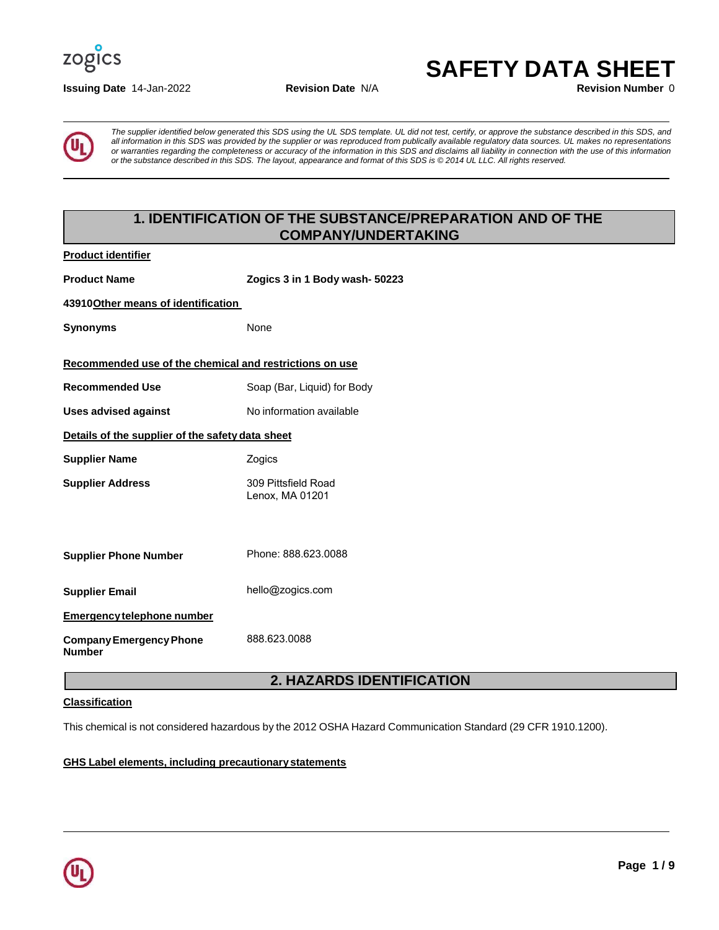

#### **Issuing Date 14-Jan-2022 Revision Date N/A**

**SAFETY DATA SHEET** 



*The supplier identified below generated this SDS using the UL SDS template. UL did not test, certify, or approve the substance described in this SDS, and all information in this SDS was provided by the supplier or was reproduced from publically available regulatory data sources. UL makes no representations or warranties regarding the completeness or accuracy of the information in this SDS and disclaims all liability in connection with the use of this information or the substance described in this SDS. The layout, appearance and format of this SDS is © 2014 UL LLC. All rights reserved.* 

# **1. IDENTIFICATION OF THE SUBSTANCE/PREPARATION AND OF THE COMPANY/UNDERTAKING**

| <b>Product identifier</b>                               |                                        |  |
|---------------------------------------------------------|----------------------------------------|--|
| <b>Product Name</b>                                     | Zogics 3 in 1 Body wash- 50223         |  |
| 43910 Other means of identification                     |                                        |  |
| <b>Synonyms</b>                                         | <b>None</b>                            |  |
| Recommended use of the chemical and restrictions on use |                                        |  |
| <b>Recommended Use</b>                                  | Soap (Bar, Liquid) for Body            |  |
| Uses advised against                                    | No information available               |  |
| Details of the supplier of the safety data sheet        |                                        |  |
| <b>Supplier Name</b>                                    | Zogics                                 |  |
| <b>Supplier Address</b>                                 | 309 Pittsfield Road<br>Lenox, MA 01201 |  |
|                                                         |                                        |  |
|                                                         |                                        |  |
| <b>Supplier Phone Number</b>                            | Phone: 888.623.0088                    |  |
| <b>Supplier Email</b>                                   | hello@zogics.com                       |  |
| <b>Emergency telephone number</b>                       |                                        |  |
| <b>Company Emergency Phone</b><br><b>Number</b>         | 888.623.0088                           |  |

# **2. HAZARDS IDENTIFICATION**

# **Classification**

This chemical is not considered hazardous by the 2012 OSHA Hazard Communication Standard (29 CFR 1910.1200).

**GHS Label elements, including precautionary statements** 

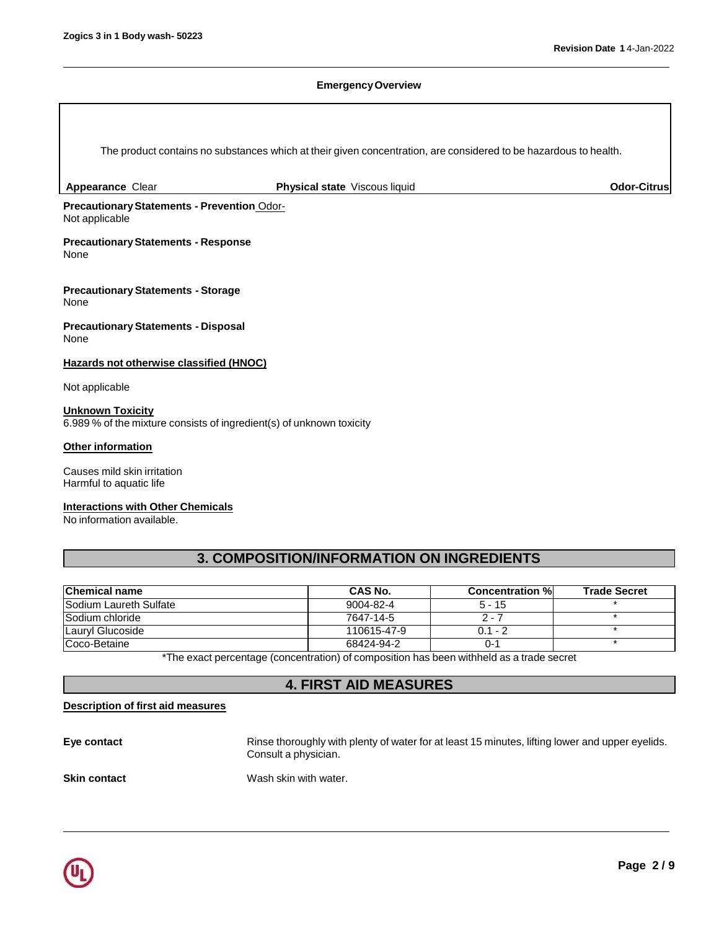Г

٦

# **Emergency Overview**

|                                                                                                 | The product contains no substances which at their given concentration, are considered to be hazardous to health.         |                        |                     |
|-------------------------------------------------------------------------------------------------|--------------------------------------------------------------------------------------------------------------------------|------------------------|---------------------|
| Appearance Clear                                                                                | Physical state Viscous liquid                                                                                            |                        | <b>Odor-Citrus</b>  |
| Precautionary Statements - Prevention Odor-<br>Not applicable                                   |                                                                                                                          |                        |                     |
| <b>Precautionary Statements - Response</b><br>None                                              |                                                                                                                          |                        |                     |
| <b>Precautionary Statements - Storage</b><br>None                                               |                                                                                                                          |                        |                     |
| <b>Precautionary Statements - Disposal</b><br>None                                              |                                                                                                                          |                        |                     |
| <b>Hazards not otherwise classified (HNOC)</b>                                                  |                                                                                                                          |                        |                     |
| Not applicable                                                                                  |                                                                                                                          |                        |                     |
| <b>Unknown Toxicity</b><br>6.989 % of the mixture consists of ingredient(s) of unknown toxicity |                                                                                                                          |                        |                     |
| <b>Other information</b>                                                                        |                                                                                                                          |                        |                     |
| Causes mild skin irritation<br>Harmful to aquatic life                                          |                                                                                                                          |                        |                     |
| <b>Interactions with Other Chemicals</b><br>No information available.                           |                                                                                                                          |                        |                     |
|                                                                                                 | 3. COMPOSITION/INFORMATION ON INGREDIENTS                                                                                |                        |                     |
| <b>Chemical name</b>                                                                            | <b>CAS No.</b>                                                                                                           | <b>Concentration %</b> | <b>Trade Secret</b> |
| Sodium Laureth Sulfate                                                                          | $9004 - 82 - 4$                                                                                                          | $5 - 15$               | $\star$             |
| Sodium chloride                                                                                 | 7647-14-5                                                                                                                | $2 - 7$                | $\star$             |
| Lauryl Glucoside                                                                                | 110615-47-9                                                                                                              | $0.1 - 2$              | $\ast$              |
| Coco-Betaine                                                                                    | 68424-94-2                                                                                                               | $0 - 1$                |                     |
|                                                                                                 | *The exact percentage (concentration) of composition has been withheld as a trade secret<br><b>4. FIRST AID MEASURES</b> |                        |                     |

# **Description of first aid measures**

Eye contact **Rinse thoroughly with plenty of water for at least 15 minutes, lifting lower and upper eyelids.** Consult a physician. **Skin contact Wash skin with water.** 

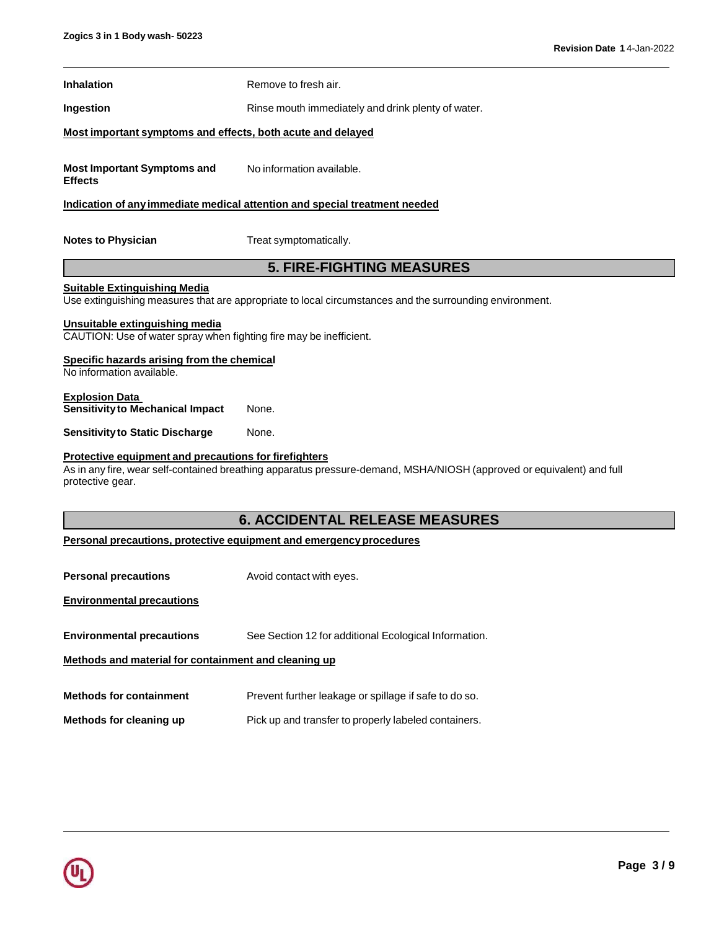| <b>Inhalation</b>                                                                                    | Remove to fresh air.                                                                                                  |  |
|------------------------------------------------------------------------------------------------------|-----------------------------------------------------------------------------------------------------------------------|--|
| Ingestion                                                                                            | Rinse mouth immediately and drink plenty of water.                                                                    |  |
| Most important symptoms and effects, both acute and delayed                                          |                                                                                                                       |  |
|                                                                                                      |                                                                                                                       |  |
| <b>Most Important Symptoms and</b><br><b>Effects</b>                                                 | No information available.                                                                                             |  |
|                                                                                                      | Indication of any immediate medical attention and special treatment needed                                            |  |
|                                                                                                      |                                                                                                                       |  |
| <b>Notes to Physician</b>                                                                            | Treat symptomatically.                                                                                                |  |
|                                                                                                      | <b>5. FIRE-FIGHTING MEASURES</b>                                                                                      |  |
| <b>Suitable Extinguishing Media</b>                                                                  |                                                                                                                       |  |
|                                                                                                      | Use extinguishing measures that are appropriate to local circumstances and the surrounding environment.               |  |
| Unsuitable extinguishing media<br>CAUTION: Use of water spray when fighting fire may be inefficient. |                                                                                                                       |  |
| Specific hazards arising from the chemical                                                           |                                                                                                                       |  |
| No information available.                                                                            |                                                                                                                       |  |
| <b>Explosion Data</b><br><b>Sensitivity to Mechanical Impact</b>                                     | None.                                                                                                                 |  |
| <b>Sensitivity to Static Discharge</b>                                                               | None.                                                                                                                 |  |
| Protective equipment and precautions for firefighters                                                |                                                                                                                       |  |
| protective gear.                                                                                     | As in any fire, wear self-contained breathing apparatus pressure-demand, MSHA/NIOSH (approved or equivalent) and full |  |
|                                                                                                      |                                                                                                                       |  |
|                                                                                                      | <b>6. ACCIDENTAL RELEASE MEASURES</b>                                                                                 |  |
|                                                                                                      | Personal precautions, protective equipment and emergency procedures                                                   |  |
| <b>Personal precautions</b>                                                                          | Avoid contact with eyes.                                                                                              |  |
|                                                                                                      |                                                                                                                       |  |
| <b>Environmental precautions</b>                                                                     |                                                                                                                       |  |
| <b>Environmental precautions</b>                                                                     | See Section 12 for additional Ecological Information.                                                                 |  |
| Methods and material for containment and cleaning up                                                 |                                                                                                                       |  |
|                                                                                                      |                                                                                                                       |  |
| <b>Methods for containment</b>                                                                       | Prevent further leakage or spillage if safe to do so.                                                                 |  |
| Methods for cleaning up                                                                              | Pick up and transfer to properly labeled containers.                                                                  |  |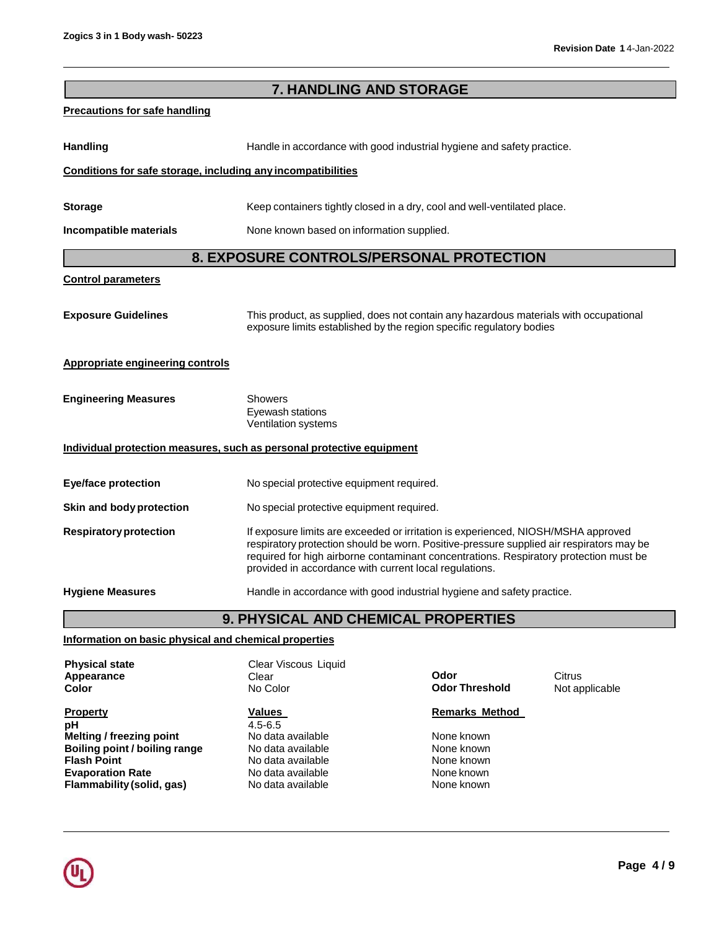| 7. HANDLING AND STORAGE                                               |                                                                                                                                                                                                                                                                                                                                  |                               |                          |
|-----------------------------------------------------------------------|----------------------------------------------------------------------------------------------------------------------------------------------------------------------------------------------------------------------------------------------------------------------------------------------------------------------------------|-------------------------------|--------------------------|
| <b>Precautions for safe handling</b>                                  |                                                                                                                                                                                                                                                                                                                                  |                               |                          |
| <b>Handling</b>                                                       | Handle in accordance with good industrial hygiene and safety practice.                                                                                                                                                                                                                                                           |                               |                          |
| Conditions for safe storage, including any incompatibilities          |                                                                                                                                                                                                                                                                                                                                  |                               |                          |
| <b>Storage</b>                                                        | Keep containers tightly closed in a dry, cool and well-ventilated place.                                                                                                                                                                                                                                                         |                               |                          |
| Incompatible materials                                                | None known based on information supplied.                                                                                                                                                                                                                                                                                        |                               |                          |
|                                                                       | 8. EXPOSURE CONTROLS/PERSONAL PROTECTION                                                                                                                                                                                                                                                                                         |                               |                          |
| <b>Control parameters</b>                                             |                                                                                                                                                                                                                                                                                                                                  |                               |                          |
| <b>Exposure Guidelines</b>                                            | This product, as supplied, does not contain any hazardous materials with occupational<br>exposure limits established by the region specific regulatory bodies                                                                                                                                                                    |                               |                          |
| Appropriate engineering controls                                      |                                                                                                                                                                                                                                                                                                                                  |                               |                          |
| <b>Engineering Measures</b>                                           | Showers<br>Eyewash stations<br>Ventilation systems                                                                                                                                                                                                                                                                               |                               |                          |
| Individual protection measures, such as personal protective equipment |                                                                                                                                                                                                                                                                                                                                  |                               |                          |
| <b>Eye/face protection</b>                                            | No special protective equipment required.                                                                                                                                                                                                                                                                                        |                               |                          |
| Skin and body protection                                              | No special protective equipment required.                                                                                                                                                                                                                                                                                        |                               |                          |
| <b>Respiratory protection</b>                                         | If exposure limits are exceeded or irritation is experienced, NIOSH/MSHA approved<br>respiratory protection should be worn. Positive-pressure supplied air respirators may be<br>required for high airborne contaminant concentrations. Respiratory protection must be<br>provided in accordance with current local regulations. |                               |                          |
| <b>Hygiene Measures</b>                                               | Handle in accordance with good industrial hygiene and safety practice.                                                                                                                                                                                                                                                           |                               |                          |
|                                                                       | 9. PHYSICAL AND CHEMICAL PROPERTIES                                                                                                                                                                                                                                                                                              |                               |                          |
| Information on basic physical and chemical properties                 |                                                                                                                                                                                                                                                                                                                                  |                               |                          |
| <b>Physical state</b><br>Appearance<br>Color                          | Clear Viscous Liquid<br>Clear<br>No Color                                                                                                                                                                                                                                                                                        | Odor<br><b>Odor Threshold</b> | Citrus<br>Not applicable |

**Property CONFIDENTIAL CONFIDENT CONFIDENT CONFIDENT CONFIDENT CONFIDENT CONFIDENT CONFIDENT CONFIDENT CONFIDENT CONFIDENT CONFIDENT CONFIDENT CONFIDENT CONFIDENT CONFIDENT CONFIDENT CONFIDENT CONFIDENT CONFIDENT CONFIDE pH Melting / freezing point Boiling point / boiling range** No data available **None known**<br>
No data available **None known**<br>
None known **Evaporation Rate No data available**<br> **Flammability (solid, gas)** No data available **Flammability (solid, gas)** No data available None known

 $\frac{\text{Values}}{4.5-6.5}$ 

No data available None known<br>No data available None known **Flash Mone known**<br> **Flash No data available None known**<br> **Plash None known** 

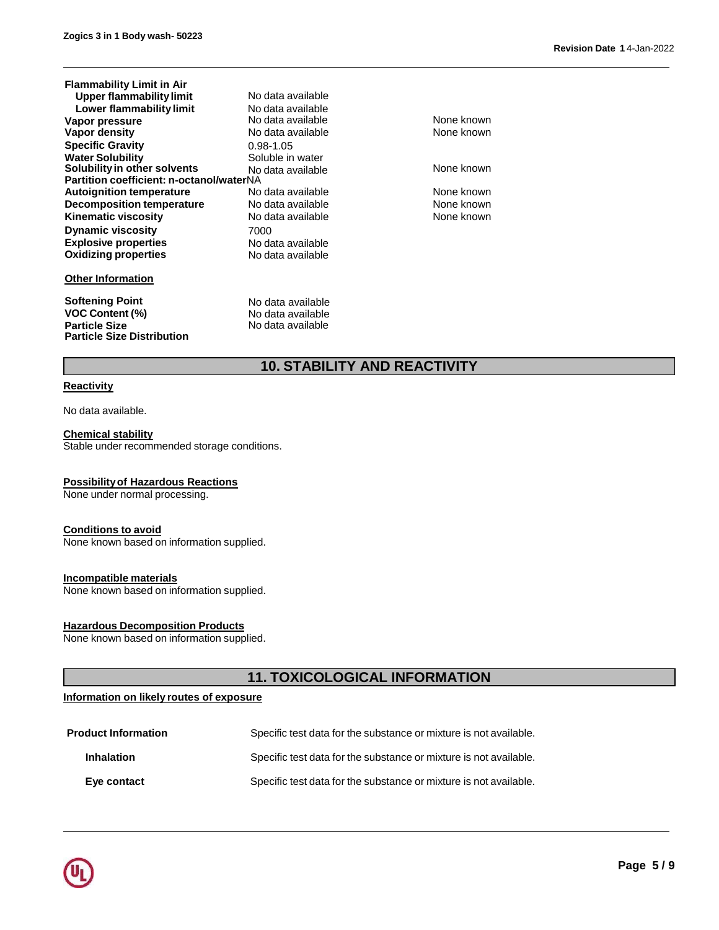| <b>Flammability Limit in Air</b>         |                   |
|------------------------------------------|-------------------|
| Upper flammability limit                 | No data available |
| Lower flammability limit                 | No data available |
| Vapor pressure                           | No data available |
| <b>Vapor density</b>                     | No data available |
| <b>Specific Gravity</b>                  | 0.98-1.05         |
| <b>Water Solubility</b>                  | Soluble in water  |
| Solubility in other solvents             | No data available |
| Partition coefficient: n-octanol/waterNA |                   |
| <b>Autoignition temperature</b>          | No data available |
| <b>Decomposition temperature</b>         | No data available |
| <b>Kinematic viscosity</b>               | No data available |
| <b>Dynamic viscosity</b>                 | 7000              |
| <b>Explosive properties</b>              | No data available |
| <b>Oxidizing properties</b>              | No data available |
| <b>Other Information</b>                 |                   |
| <b>Softening Point</b>                   | No data available |
| <b>VOC Content (%)</b>                   | No data available |

None known **None known** 

None known

**None known None known None known** 

# **10. STABILITY AND REACTIVITY**

No data available

# **Reactivity**

**Particle Size**

**Particle Size Distribution**

No data available.

#### **Chemical stability** Stable under recommended storage conditions.

#### **Possibilityof Hazardous Reactions**

None under normal processing.

# **Conditions to avoid**

None known based on information supplied.

#### **Incompatible materials**

None known based on information supplied.

# **Hazardous Decomposition Products**

None known based on information supplied.

# **11. TOXICOLOGICAL INFORMATION**

#### **Information on likely routes of exposure**

| <b>Product Information</b> | Specific test data for the substance or mixture is not available. |
|----------------------------|-------------------------------------------------------------------|
| <b>Inhalation</b>          | Specific test data for the substance or mixture is not available. |
| Eye contact                | Specific test data for the substance or mixture is not available. |

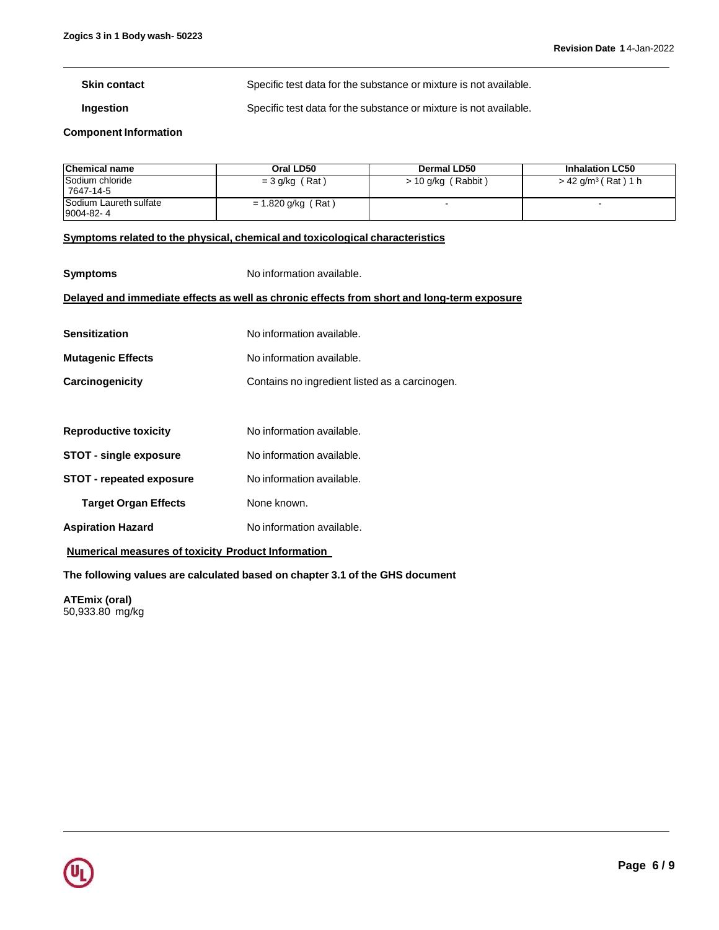**Skin contact** Specific test data for the substance or mixture is not available.

**Ingestion Specific test data for the substance or mixture is not available.** 

**Component Information** 

| <b>Chemical name</b>                       | Oral LD50            | Dermal LD50          | <b>Inhalation LC50</b>            |
|--------------------------------------------|----------------------|----------------------|-----------------------------------|
| Sodium chloride<br>7647-14-5               | $=$ 3 g/kg (Rat)     | $> 10$ g/kg (Rabbit) | $> 42$ g/m <sup>3</sup> (Rat) 1 h |
| <b>Sodium Laureth sulfate</b><br>9004-82-4 | $= 1.820$ g/kg (Rat) |                      |                                   |

### **Symptoms related to the physical, chemical and toxicological characteristics**

| <b>Symptoms</b>                                           | No information available.                                                                  |
|-----------------------------------------------------------|--------------------------------------------------------------------------------------------|
|                                                           | Delayed and immediate effects as well as chronic effects from short and long-term exposure |
|                                                           |                                                                                            |
| <b>Sensitization</b>                                      | No information available.                                                                  |
| <b>Mutagenic Effects</b>                                  | No information available.                                                                  |
| Carcinogenicity                                           | Contains no ingredient listed as a carcinogen.                                             |
|                                                           |                                                                                            |
| <b>Reproductive toxicity</b>                              | No information available.                                                                  |
| <b>STOT - single exposure</b>                             | No information available.                                                                  |
| <b>STOT - repeated exposure</b>                           | No information available.                                                                  |
| <b>Target Organ Effects</b>                               | None known.                                                                                |
| <b>Aspiration Hazard</b>                                  | No information available.                                                                  |
| <b>Numerical measures of toxicity Product Information</b> |                                                                                            |

**The following values are calculated based on chapter 3.1 of the GHS document** 

**ATEmix (oral)**  50,933.80 mg/kg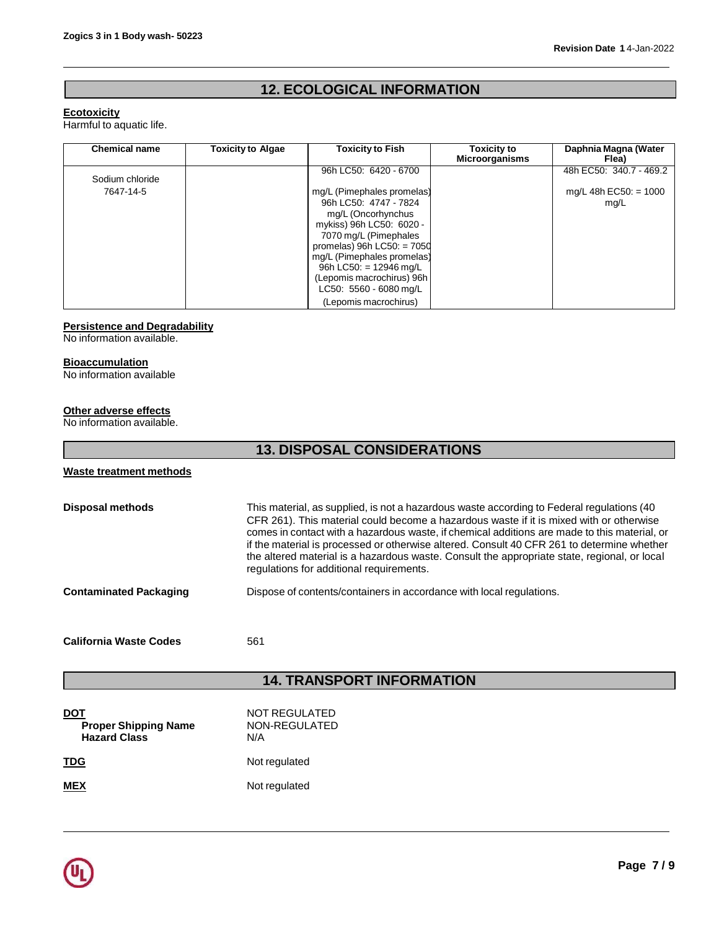# **12. ECOLOGICAL INFORMATION**

# **Ecotoxicity**

Harmful to aquatic life.

| <b>Chemical name</b> | <b>Toxicity to Algae</b> | <b>Toxicity to Fish</b>      | <b>Toxicity to</b><br><b>Microorganisms</b> | Daphnia Magna (Water<br>Flea) |
|----------------------|--------------------------|------------------------------|---------------------------------------------|-------------------------------|
| Sodium chloride      |                          | 96h LC50: 6420 - 6700        |                                             | 48h EC50: 340.7 - 469.2       |
| 7647-14-5            |                          | mg/L (Pimephales promelas)   |                                             | $mq/L$ 48h EC50: = 1000       |
|                      |                          | 96h LC50: 4747 - 7824        |                                             | mg/L                          |
|                      |                          | mg/L (Oncorhynchus           |                                             |                               |
|                      |                          | mykiss) 96h LC50: 6020 -     |                                             |                               |
|                      |                          | 7070 mg/L (Pimephales        |                                             |                               |
|                      |                          | promelas) $96h$ LC50: = 7050 |                                             |                               |
|                      |                          | mg/L (Pimephales promelas)   |                                             |                               |
|                      |                          | 96h LC50: $= 12946$ mg/L     |                                             |                               |
|                      |                          | (Lepomis macrochirus) 96h    |                                             |                               |
|                      |                          | LC50: 5560 - 6080 mg/L       |                                             |                               |
|                      |                          | (Lepomis macrochirus)        |                                             |                               |

# **Persistence and Degradability**

No information available.

# **Bioaccumulation**

No information available

# **Other adverse effects**

No information available.

| <b>13. DISPOSAL CONSIDERATIONS</b>                               |                                                                                                                                                                                                                                                                                                                                                                                                                                                                                                                                 |  |
|------------------------------------------------------------------|---------------------------------------------------------------------------------------------------------------------------------------------------------------------------------------------------------------------------------------------------------------------------------------------------------------------------------------------------------------------------------------------------------------------------------------------------------------------------------------------------------------------------------|--|
| <b>Waste treatment methods</b>                                   |                                                                                                                                                                                                                                                                                                                                                                                                                                                                                                                                 |  |
| <b>Disposal methods</b>                                          | This material, as supplied, is not a hazardous waste according to Federal regulations (40)<br>CFR 261). This material could become a hazardous waste if it is mixed with or otherwise<br>comes in contact with a hazardous waste, if chemical additions are made to this material, or<br>if the material is processed or otherwise altered. Consult 40 CFR 261 to determine whether<br>the altered material is a hazardous waste. Consult the appropriate state, regional, or local<br>regulations for additional requirements. |  |
| <b>Contaminated Packaging</b>                                    | Dispose of contents/containers in accordance with local regulations.                                                                                                                                                                                                                                                                                                                                                                                                                                                            |  |
| <b>California Waste Codes</b>                                    | 561                                                                                                                                                                                                                                                                                                                                                                                                                                                                                                                             |  |
|                                                                  | <b>14. TRANSPORT INFORMATION</b>                                                                                                                                                                                                                                                                                                                                                                                                                                                                                                |  |
| <b>DOT</b><br><b>Proper Shipping Name</b><br><b>Hazard Class</b> | NOT REGULATED<br>NON-REGULATED<br>N/A                                                                                                                                                                                                                                                                                                                                                                                                                                                                                           |  |
| <u>TDG</u>                                                       | Not regulated                                                                                                                                                                                                                                                                                                                                                                                                                                                                                                                   |  |
| <b>MEX</b>                                                       | Not regulated                                                                                                                                                                                                                                                                                                                                                                                                                                                                                                                   |  |

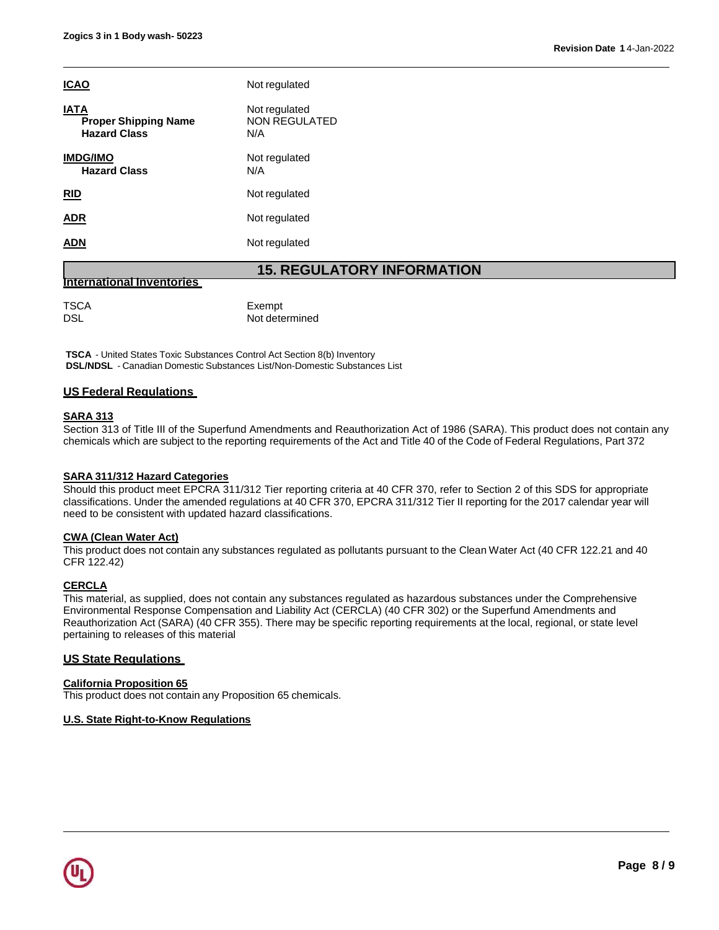| <b>ICAO</b>                                                       | Not regulated                                |
|-------------------------------------------------------------------|----------------------------------------------|
| <b>IATA</b><br><b>Proper Shipping Name</b><br><b>Hazard Class</b> | Not regulated<br><b>NON REGULATED</b><br>N/A |
| <b>IMDG/IMO</b><br><b>Hazard Class</b>                            | Not regulated<br>N/A                         |
| <b>RID</b>                                                        | Not regulated                                |
| <b>ADR</b>                                                        | Not regulated                                |
| <b>ADN</b>                                                        | Not regulated                                |
|                                                                   | <b>15. REGULATORY INFORMATION</b>            |

#### **International Inventories**

| Exempt<br>Not determined |
|--------------------------|
|                          |
|                          |

**TSCA** - United States Toxic Substances Control Act Section 8(b) Inventory **DSL/NDSL** - Canadian Domestic Substances List/Non-Domestic Substances List

# **US Federal Regulations**

#### **SARA 313**

Section 313 of Title III of the Superfund Amendments and Reauthorization Act of 1986 (SARA). This product does not contain any chemicals which are subject to the reporting requirements of the Act and Title 40 of the Code of Federal Regulations, Part 372

# **SARA 311/312 Hazard Categories**

Should this product meet EPCRA 311/312 Tier reporting criteria at 40 CFR 370, refer to Section 2 of this SDS for appropriate classifications. Under the amended regulations at 40 CFR 370, EPCRA 311/312 Tier II reporting for the 2017 calendar year will need to be consistent with updated hazard classifications.

#### **CWA (Clean Water Act)**

This product does not contain any substances regulated as pollutants pursuant to the Clean Water Act (40 CFR 122.21 and 40 CFR 122.42)

# **CERCLA**

This material, as supplied, does not contain any substances regulated as hazardous substances under the Comprehensive Environmental Response Compensation and Liability Act (CERCLA) (40 CFR 302) or the Superfund Amendments and Reauthorization Act (SARA) (40 CFR 355). There may be specific reporting requirements at the local, regional, or state level pertaining to releases of this material

# **US State Regulations**

#### **California Proposition 65**

This product does not contain any Proposition 65 chemicals.

# **U.S. State Right-to-Know Regulations**